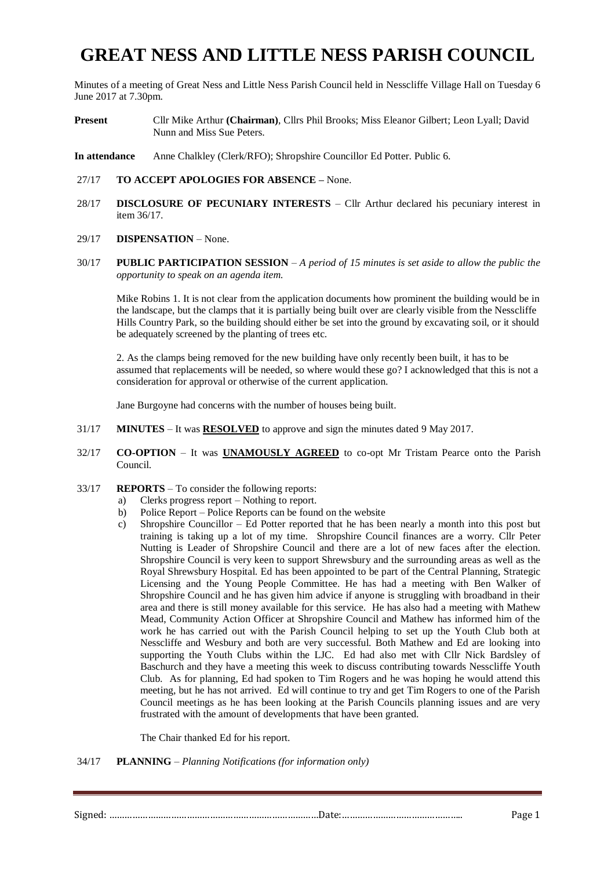# **GREAT NESS AND LITTLE NESS PARISH COUNCIL**

Minutes of a meeting of Great Ness and Little Ness Parish Council held in Nesscliffe Village Hall on Tuesday 6 June 2017 at 7.30pm.

- **Present** Cllr Mike Arthur **(Chairman)**, Cllrs Phil Brooks; Miss Eleanor Gilbert; Leon Lyall; David Nunn and Miss Sue Peters.
- **In attendance** Anne Chalkley (Clerk/RFO); Shropshire Councillor Ed Potter. Public 6.
- 27/17 **TO ACCEPT APOLOGIES FOR ABSENCE –** None.
- 28/17 **DISCLOSURE OF PECUNIARY INTERESTS** Cllr Arthur declared his pecuniary interest in item 36/17.

#### 29/17 **DISPENSATION** – None.

30/17 **PUBLIC PARTICIPATION SESSION** – *A period of 15 minutes is set aside to allow the public the opportunity to speak on an agenda item.*

Mike Robins 1. It is not clear from the application documents how prominent the building would be in the landscape, but the clamps that it is partially being built over are clearly visible from the Nesscliffe Hills Country Park, so the building should either be set into the ground by excavating soil, or it should be adequately screened by the planting of trees etc.

2. As the clamps being removed for the new building have only recently been built, it has to be assumed that replacements will be needed, so where would these go? I acknowledged that this is not a consideration for approval or otherwise of the current application.

Jane Burgoyne had concerns with the number of houses being built.

- 31/17 **MINUTES** It was **RESOLVED** to approve and sign the minutes dated 9 May 2017.
- 32/17 **CO-OPTION** It was **UNAMOUSLY AGREED** to co-opt Mr Tristam Pearce onto the Parish Council.
- 33/17 **REPORTS** To consider the following reports:
	- a) Clerks progress report Nothing to report.
		- b) Police Report Police Reports can be found on the website
		- c) Shropshire Councillor Ed Potter reported that he has been nearly a month into this post but training is taking up a lot of my time. Shropshire Council finances are a worry. Cllr Peter Nutting is Leader of Shropshire Council and there are a lot of new faces after the election. Shropshire Council is very keen to support Shrewsbury and the surrounding areas as well as the Royal Shrewsbury Hospital. Ed has been appointed to be part of the Central Planning, Strategic Licensing and the Young People Committee. He has had a meeting with Ben Walker of Shropshire Council and he has given him advice if anyone is struggling with broadband in their area and there is still money available for this service. He has also had a meeting with Mathew Mead, Community Action Officer at Shropshire Council and Mathew has informed him of the work he has carried out with the Parish Council helping to set up the Youth Club both at Nesscliffe and Wesbury and both are very successful. Both Mathew and Ed are looking into supporting the Youth Clubs within the LJC. Ed had also met with Cllr Nick Bardsley of Baschurch and they have a meeting this week to discuss contributing towards Nesscliffe Youth Club. As for planning, Ed had spoken to Tim Rogers and he was hoping he would attend this meeting, but he has not arrived. Ed will continue to try and get Tim Rogers to one of the Parish Council meetings as he has been looking at the Parish Councils planning issues and are very frustrated with the amount of developments that have been granted.

The Chair thanked Ed for his report.

34/17 **PLANNING** – *Planning Notifications (for information only)*

Signed: ………………………………………………………………………Date:……………………………………….. Page 1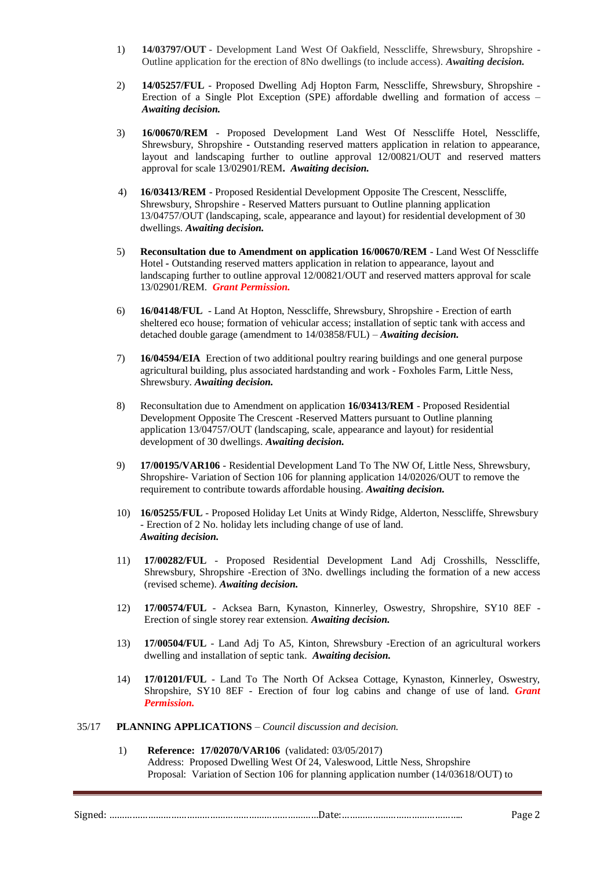- 1) **14/03797/OUT** Development Land West Of Oakfield, Nesscliffe, Shrewsbury, Shropshire Outline application for the erection of 8No dwellings (to include access). *Awaiting decision.*
- 2) **14/05257/FUL** Proposed Dwelling Adj Hopton Farm, Nesscliffe, Shrewsbury, Shropshire Erection of a Single Plot Exception (SPE) affordable dwelling and formation of access – *Awaiting decision.*
- 3) **16/00670/REM** Proposed Development Land West Of Nesscliffe Hotel, Nesscliffe, Shrewsbury, Shropshire **-** Outstanding reserved matters application in relation to appearance, layout and landscaping further to outline approval 12/00821/OUT and reserved matters approval for scale 13/02901/REM**.** *Awaiting decision.*
- 4) **16/03413/REM** Proposed Residential Development Opposite The Crescent, Nesscliffe, Shrewsbury, Shropshire - Reserved Matters pursuant to Outline planning application 13/04757/OUT (landscaping, scale, appearance and layout) for residential development of 30 dwellings. *Awaiting decision.*
- 5) **Reconsultation due to Amendment on application 16/00670/REM** Land West Of Nesscliffe Hotel *-* Outstanding reserved matters application in relation to appearance, layout and landscaping further to outline approval 12/00821/OUT and reserved matters approval for scale 13/02901/REM. *Grant Permission.*
- 6) **16/04148/FUL** Land At Hopton, Nesscliffe, Shrewsbury, Shropshire Erection of earth sheltered eco house; formation of vehicular access; installation of septic tank with access and detached double garage (amendment to 14/03858/FUL) – *Awaiting decision.*
- 7) **16/04594/EIA** Erection of two additional poultry rearing buildings and one general purpose agricultural building, plus associated hardstanding and work - Foxholes Farm, Little Ness, Shrewsbury. *Awaiting decision.*
- 8) Reconsultation due to Amendment on application **16/03413/REM** Proposed Residential Development Opposite The Crescent -Reserved Matters pursuant to Outline planning application 13/04757/OUT (landscaping, scale, appearance and layout) for residential development of 30 dwellings. *Awaiting decision.*
- 9) **17/00195/VAR106** Residential Development Land To The NW Of, Little Ness, Shrewsbury, Shropshire- Variation of Section 106 for planning application 14/02026/OUT to remove the requirement to contribute towards affordable housing. *Awaiting decision.*
- 10) **16/05255/FUL** Proposed Holiday Let Units at Windy Ridge, Alderton, Nesscliffe, Shrewsbury - Erection of 2 No. holiday lets including change of use of land. *Awaiting decision.*
- 11) **17/00282/FUL** Proposed Residential Development Land Adj Crosshills, Nesscliffe, Shrewsbury, Shropshire -Erection of 3No. dwellings including the formation of a new access (revised scheme). *Awaiting decision.*
- 12) **17/00574/FUL** Acksea Barn, Kynaston, Kinnerley, Oswestry, Shropshire, SY10 8EF Erection of single storey rear extension*. Awaiting decision.*
- 13) **17/00504/FUL** Land Adj To A5, Kinton, Shrewsbury -Erection of an agricultural workers dwelling and installation of septic tank. *Awaiting decision.*
- 14) **17/01201/FUL** Land To The North Of Acksea Cottage, Kynaston, Kinnerley, Oswestry, Shropshire, SY10 8EF - Erection of four log cabins and change of use of land*. Grant Permission.*
- 35/17 **PLANNING APPLICATIONS** *Council discussion and decision.*
	- 1) **Reference: 17/02070/VAR106** (validated: 03/05/2017) Address: Proposed Dwelling West Of 24, Valeswood, Little Ness, Shropshire Proposal: Variation of Section 106 for planning application number (14/03618/OUT) to

Signed: ………………………………………………………………………Date:……………………………………….. Page 2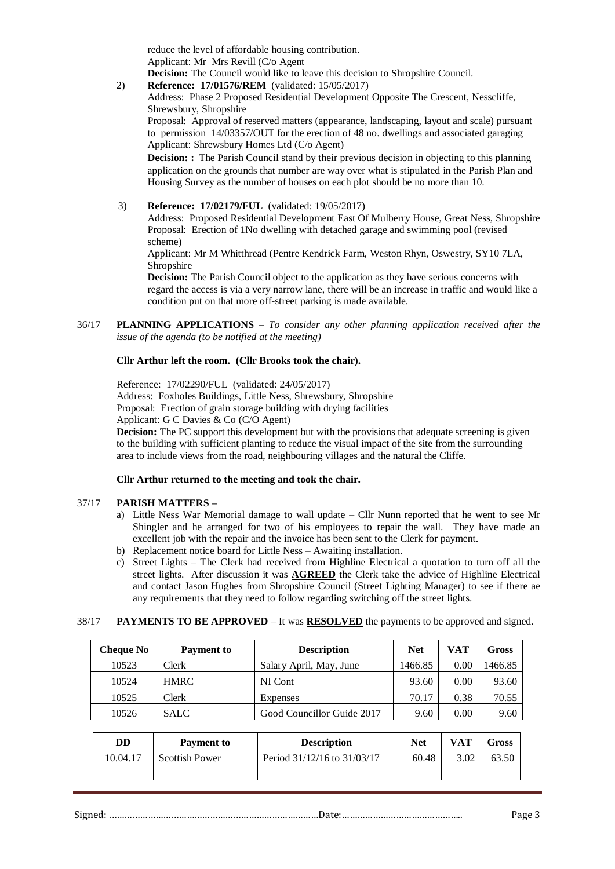reduce the level of affordable housing contribution. Applicant: Mr Mrs Revill (C/o Agent **Decision:** The Council would like to leave this decision to Shropshire Council.

2) **Reference: 17/01576/REM** (validated: 15/05/2017)

Address: Phase 2 Proposed Residential Development Opposite The Crescent, Nesscliffe, Shrewsbury, Shropshire

Proposal: Approval of reserved matters (appearance, landscaping, layout and scale) pursuant to permission 14/03357/OUT for the erection of 48 no. dwellings and associated garaging Applicant: Shrewsbury Homes Ltd (C/o Agent)

**Decision: :** The Parish Council stand by their previous decision in objecting to this planning application on the grounds that number are way over what is stipulated in the Parish Plan and Housing Survey as the number of houses on each plot should be no more than 10.

3) **Reference: 17/02179/FUL** (validated: 19/05/2017)

Address: Proposed Residential Development East Of Mulberry House, Great Ness, Shropshire Proposal: Erection of 1No dwelling with detached garage and swimming pool (revised scheme)

Applicant: Mr M Whitthread (Pentre Kendrick Farm, Weston Rhyn, Oswestry, SY10 7LA, Shropshire

**Decision:** The Parish Council object to the application as they have serious concerns with regard the access is via a very narrow lane, there will be an increase in traffic and would like a condition put on that more off-street parking is made available.

36/17 **PLANNING APPLICATIONS –** *To consider any other planning application received after the issue of the agenda (to be notified at the meeting)*

# **Cllr Arthur left the room. (Cllr Brooks took the chair).**

Reference: 17/02290/FUL (validated: 24/05/2017)

Address: Foxholes Buildings, Little Ness, Shrewsbury, Shropshire

Proposal: Erection of grain storage building with drying facilities

Applicant: G C Davies & Co (C/O Agent)

**Decision:** The PC support this development but with the provisions that adequate screening is given to the building with sufficient planting to reduce the visual impact of the site from the surrounding area to include views from the road, neighbouring villages and the natural the Cliffe.

### **Cllr Arthur returned to the meeting and took the chair.**

### 37/17 **PARISH MATTERS –**

- a) Little Ness War Memorial damage to wall update Cllr Nunn reported that he went to see Mr Shingler and he arranged for two of his employees to repair the wall. They have made an excellent job with the repair and the invoice has been sent to the Clerk for payment.
- b) Replacement notice board for Little Ness Awaiting installation.
- c) Street Lights The Clerk had received from Highline Electrical a quotation to turn off all the street lights. After discussion it was **AGREED** the Clerk take the advice of Highline Electrical and contact Jason Hughes from Shropshire Council (Street Lighting Manager) to see if there ae any requirements that they need to follow regarding switching off the street lights.

### 38/17 **PAYMENTS TO BE APPROVED** – It was **RESOLVED** the payments to be approved and signed.

| Cheque No | Payment to  | <b>Description</b>         | Net     | VAT  | Gross   |
|-----------|-------------|----------------------------|---------|------|---------|
| 10523     | Clerk       | Salary April, May, June    | 1466.85 | 0.00 | 1466.85 |
| 10524     | <b>HMRC</b> | NI Cont                    | 93.60   | 0.00 | 93.60   |
| 10525     | Clerk       | Expenses                   | 70.17   | 0.38 | 70.55   |
| 10526     | <b>SALC</b> | Good Councillor Guide 2017 | 9.60    | 0.00 | 9.60    |

| DD       | Payment to            | <b>Description</b>          | Net   | <b>VAT</b> | Gross |
|----------|-----------------------|-----------------------------|-------|------------|-------|
| 10.04.17 | <b>Scottish Power</b> | Period 31/12/16 to 31/03/17 | 60.48 | 3.02       | 63.50 |

### Signed: ………………………………………………………………………Date:……………………………………….. Page 3